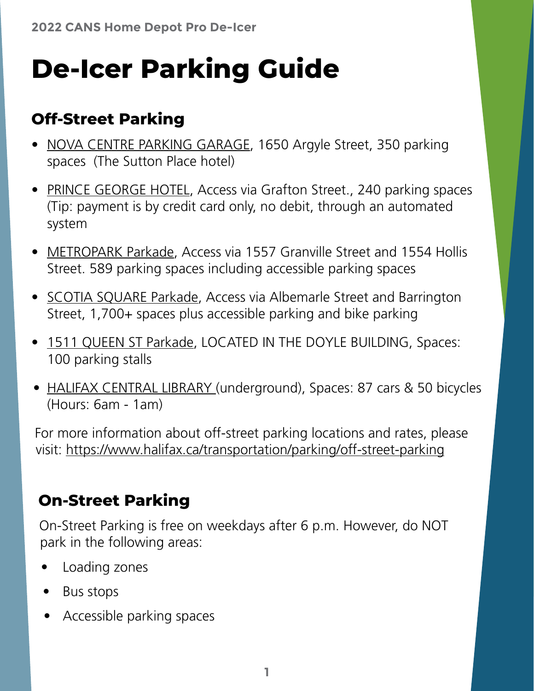# **De-Icer Parking Guide**

#### **Off-Street Parking**

- [NOVA CENTRE PARKING GARAGE,](https://goo.gl/maps/PuFLyZ2Gbmx8vRaQ7) 1650 Argyle Street, 350 parking spaces (The Sutton Place hotel)
- [PRINCE GEORGE HOTEL,](https://goo.gl/maps/QwXoUVrNcBZHe6eKA) Access via Grafton Street., 240 parking spaces (Tip: payment is by credit card only, no debit, through an automated system
- [METROPARK Parkade,](https://goo.gl/maps/trW5Zb9LMxRZkofZ7) Access via 1557 Granville Street and 1554 Hollis Street. 589 parking spaces including accessible parking spaces
- [SCOTIA SQUARE Parkade](https://goo.gl/maps/y3bRFQgzikzg1QEf7), Access via Albemarle Street and Barrington Street, 1,700+ spaces plus accessible parking and bike parking
- [1511 QUEEN ST Parkade](https://goo.gl/maps/mUJZSVEG5whP834a6), LOCATED IN THE DOYLE BUILDING, Spaces: 100 parking stalls
- [HALIFAX CENTRAL LIBRARY \(](https://goo.gl/maps/yddd1UkDykotUhFz8)underground), Spaces: 87 cars & 50 bicycles (Hours: 6am - 1am)

For more information about off-street parking locations and rates, please visit: <https://www.halifax.ca/transportation/parking/off-street-parking>

#### **On-Street Parking**

On-Street Parking is free on weekdays after 6 p.m. However, do NOT park in the following areas:

- Loading zones
- Bus stops
- Accessible parking spaces